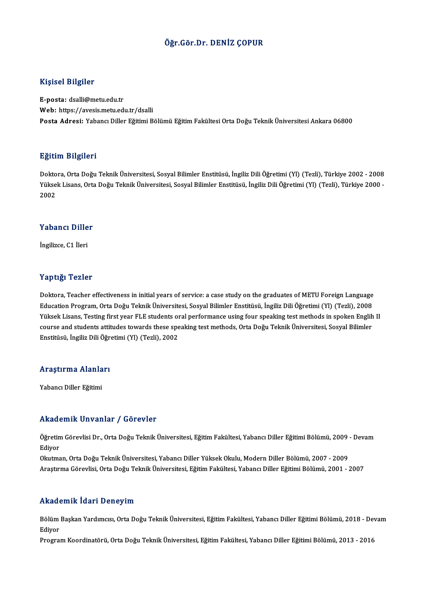## Öğr.Gör.Dr. DENİZ ÇOPUR

### Kişisel Bilgiler

E-posta: dsalli@metu.edu.tr Web: https://avesis.metu.edu.tr/dsalli Posta Adresi: Yabancı Diller Eğitimi Bölümü Eğitim Fakültesi Orta Doğu Teknik Üniversitesi Ankara 06800

### Eğitim Bilgileri

Doktora,OrtaDoğuTeknikÜniversitesi,SosyalBilimler Enstitüsü, İngilizDiliÖğretimi (Yl) (Tezli),Türkiye 2002 -2008 SSRAM SAŞASA<br>Doktora, Orta Doğu Teknik Üniversitesi, Sosyal Bilimler Enstitüsü, İngiliz Dili Öğretimi (Yl) (Tezli), Türkiye 2002 - 2008<br>Yüksek Lisans, Orta Doğu Teknik Üniversitesi, Sosyal Bilimler Enstitüsü, İngiliz Dili Dokto<br>Yükse<br>2002 2002<br>Yabancı Diller

İngilizce, C1 İleri

### Yaptığı Tezler

Yaptığı Tezler<br>Doktora, Teacher effectiveness in initial years of service: a case study on the graduates of METU Foreign Language<br>Education Program, Orta Doğu Telmik Üniversitesi, Sesval Bilimler Enstitüsü, İngiliz Dili Öğ Tup 15, Tonion<br>Doktora, Teacher effectiveness in initial years of service: a case study on the graduates of METU Foreign Language<br>Education Program, Orta Doğu Teknik Üniversitesi, Sosyal Bilimler Enstitüsü, İngiliz Dili Öğ Education Program, Orta Doğu Teknik Üniversitesi, Sosyal Bilimler Enstitüsü, İngiliz Dili Öğretimi (Yl) (Tezli), 2008<br>Yüksek Lisans, Testing first year FLE students oral performance using four speaking test methods in spok Education Program, Orta Doğu Teknik Üniversitesi, Sosyal Bilimler Enstitüsü, İngiliz Dili Öğretimi (Yl) (Tezli), 2008<br>Yüksek Lisans, Testing first year FLE students oral performance using four speaking test methods in spok Yüksek Lisans, Testing first year FLE students or<br>course and students attitudes towards these spe<br>Enstitüsü, İngiliz Dili Öğretimi (Yl) (Tezli), 2002

# <sub>Ensutusu, ingiliz bili oğr</sub>.<br>Araştırma Alanları <mark>Araştırma Alanla</mark><br>Yabancı Diller Eğitimi

# Akademik Unvanlar / Görevler

**Akademik Unvanlar / Görevler**<br>Öğretim Görevlisi Dr., Orta Doğu Teknik Üniversitesi, Eğitim Fakültesi, Yabancı Diller Eğitimi Bölümü, 2009 - Devam<br>Ediyor nnaa<br>Öğretin<br>Ediyor Öğretim Görevlisi Dr., Orta Doğu Teknik Üniversitesi, Eğitim Fakültesi, Yabancı Diller Eğitimi Bölümü, 2009 -<br>Ediyor<br>Okutman, Orta Doğu Teknik Üniversitesi, Yabancı Diller Yüksek Okulu, Modern Diller Bölümü, 2007 - 2009<br>Ar

Ediyor<br>Okutman, Orta Doğu Teknik Üniversitesi, Yabancı Diller Yüksek Okulu, Modern Diller Bölümü, 2007 - 2009<br>Araştırma Görevlisi, Orta Doğu Teknik Üniversitesi, Eğitim Fakültesi, Yabancı Diller Eğitimi Bölümü, 2001 - 2007

### Akademik İdari Deneyim

**Akademik İdari Deneyim**<br>Bölüm Başkan Yardımcısı, Orta Doğu Teknik Üniversitesi, Eğitim Fakültesi, Yabancı Diller Eğitimi Bölümü, 2018 - Devam<br>Ediyor nnaa<br>Bölüm<br>Ediyor

Ediyor<br>Program Koordinatörü, Orta Doğu Teknik Üniversitesi, Eğitim Fakültesi, Yabancı Diller Eğitimi Bölümü, 2013 - 2016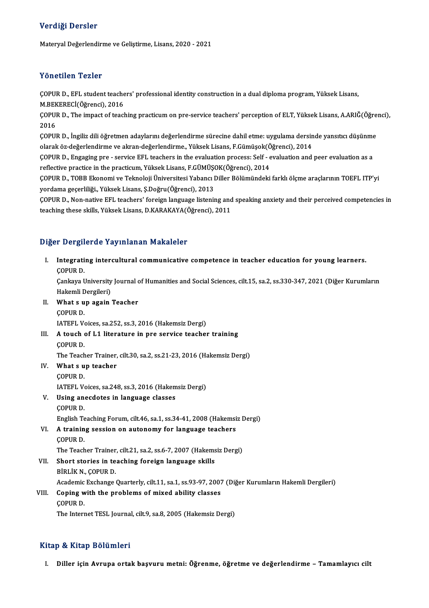## Verdiği Dersler

Materyal Değerlendirme ve Geliştirme, Lisans, 2020 - 2021

## Yönetilen Tezler

Yönetilen Tezler<br>ÇOPUR D., EFL student teachers' professional identity construction in a dual diploma program, Yüksek Lisans,<br>M.REKERECİ(Öğrensi), 2016 TOROMOM TORICI<br>COPUR D., EFL student teache<br>M.BEKERECİ(Öğrenci), 2016<br>COPUR D., The impact of teach ÇOPUR D., EFL student teachers' professional identity construction in a dual diploma program, Yüksek Lisans,<br>M.BEKERECİ(Öğrenci), 2016<br>ÇOPUR D., The impact of teaching practicum on pre-service teachers' perception of ELT,

M.BEK<br>ÇOPUI<br>2016<br>COPUI ÇOPUR D., The impact of teaching practicum on pre-service teachers' perception of ELT, Yüksek Lisans, A.ARIĞ(Öğre<br>2016<br>ÇOPUR D., İngiliz dili öğretmen adaylarını değerlendirme sürecine dahil etme: uygulama dersinde yansıtı

2016<br>ÇOPUR D., İngiliz dili öğretmen adaylarını değerlendirme sürecine dahil etme: uygulama dersin<br>olarak öz-değerlendirme ve akran-değerlendirme., Yüksek Lisans, F.Gümüşok(Öğrenci), 2014<br>COPUR D., Engeging pre., servige E

ÇOPUR D., İngiliz dili öğretmen adaylarını değerlendirme sürecine dahil etme: uygulama dersinde yansıtıcı düşünme<br>olarak öz-değerlendirme ve akran-değerlendirme., Yüksek Lisans, F.Gümüşok(Öğrenci), 2014<br>ÇOPUR D., Engaging olarak öz-değerlendirme ve akran-değerlendirme., Yüksek Lisans, F.Gümüşok(Ö<br>ÇOPUR D., Engaging pre - service EFL teachers in the evaluation process: Self - e<br>reflective practice in the practicum, Yüksek Lisans, F.GÜMÜŞOK(Ö

ÇOPUR D., TOBB Ekonomi ve Teknoloji Üniversitesi Yabancı Diller Bölümündeki farklı ölçme araçlarının TOEFL ITP'yi yordama geçerliliği., Yüksek Lisans, Ş.Doğru(Öğrenci), 2013 ÇOPUR D., TOBB Ekonomi ve Teknoloji Üniversitesi Yabancı Diller Bölümündeki farklı ölçme araçlarının TOEFL ITP'yi<br>yordama geçerliliği., Yüksek Lisans, Ş.Doğru(Öğrenci), 2013<br>ÇOPUR D., Non-native EFL teachers' foreign langu

yordama geçerliliği., Yüksek Lisans, Ş.Doğru(Öğrenci), 2013<br>ÇOPUR D., Non-native EFL teachers' foreign language listening and<br>teaching these skills, Yüksek Lisans, D.KARAKAYA(Öğrenci), 2011 teaching these skills, Yüksek Lisans, D.KARAKAYA(Öğrenci), 2011<br>Diğer Dergilerde Yayınlanan Makaleler

Iger Dergilerde Yayınlanan Makaleler<br>I. Integrating intercultural communicative competence in teacher education for young learners.<br>COPUP D r Dergin<br>Integrati<br>ÇOPUR D. Integrating intercultural communicative competence in teacher education for young learners.<br>ÇOPUR D.<br>Çankaya University Journal of Humanities and Social Sciences, cilt.15, sa.2, ss.330-347, 2021 (Diğer Kurumların<br>Hakamli D ÇOPUR D.<br>Cankaya University Journal of Humanities and Social Sciences, cilt.15, sa.2, ss.330-347, 2021 (Diğer Kurumların II. What s up again Teacher<br>COPUR D. Hakemli Dergileri) What s up again Teacher<br>ÇOPUR D.<br>IATEFL Voices, sa.252, ss.3, 2016 (Hakemsiz Dergi)<br>A touch of L1 literature in nre corvice teacher III. A touch of L1 literature in pre service teacher training COPUR D. IATEFL V<br>**A touch (**<br>ÇOPUR D.<br>The Teach A touch of L1 literature in pre service teacher training<br>COPUR D.<br>The Teacher Trainer, cilt.30, sa.2, ss.21-23, 2016 (Hakemsiz Dergi)<br>What a un teacher IV. What s up teacher The Teach<br>What s u<br>ÇOPUR D.<br>LATEEL V. What s up teacher<br>ÇOPUR D.<br>IATEFL Voices, sa.248, ss.3, 2016 (Hakemsiz Dergi)<br>Heing anogdates in Janguage slasses. V. Using anecdotes in language classes IATEFL V<br>Using an<br>ÇOPUR D.<br>English Te Using anecdotes in language classes<br>ÇOPUR D.<br>English Teaching Forum, cilt.46, sa.1, ss.34-41, 2008 (Hakemsiz Dergi)<br>A training session on autonomy for language teachers VI. A training session on autonomy for language teachers English Te<br>**A trainin<br>ÇOPUR D.**<br>The Teach The Teacher Trainer, cilt.21, sa.2, ss.6-7, 2007 (Hakemsiz Dergi) COPUR D.<br>The Teacher Trainer, cilt.21, sa.2, ss.6-7, 2007 (Hakems<br>VII. Short stories in teaching foreign language skills<br>Rini ik N. COPUR D. The Teacher Trainer<br>Short stories in te<br>BİRLİK N., ÇOPUR D.<br>Academis Evebange b BİRLİK N., ÇOPUR D.<br>Academic Exchange Quarterly, cilt.11, sa.1, ss.93-97, 2007 (Diğer Kurumların Hakemli Dergileri) BIRLIK N., COPUR D.<br>Academic Exchange Quarterly, cilt.11, sa.1, ss.93-97, 2007<br>VIII. Coping with the problems of mixed ability classes Academic<br>Coping w<br>ÇOPUR D.<br>The Intern Coping with the problems of mixed ability classes<br>ÇOPUR D.<br>The Internet TESL Journal, cilt.9, sa.8, 2005 (Hakemsiz Dergi) The Internet TESL Journal, cilt.9, sa.8, 2005 (Hakemsiz Dergi)<br>Kitap & Kitap Bölümleri

I. Diller için Avrupa ortak başvuru metni: Öğrenme, öğretme ve değerlendirme - Tamamlayıcı cilt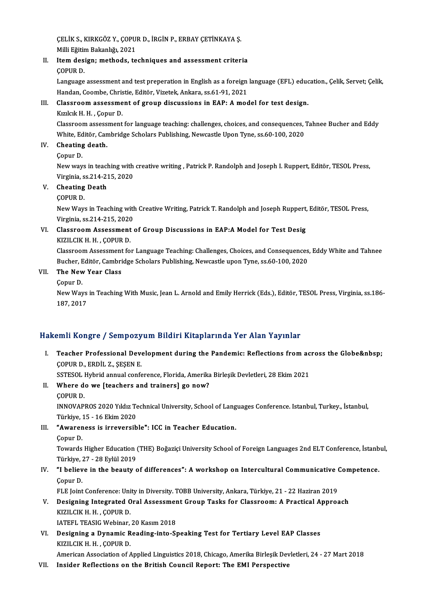ÇELİK S., KIRKGÖZ Y., ÇOPUR D., İRGİN P., ERBAY ÇETİNKAYA Ş.<br>Milli Fğitim Poltanlığı 2021 ÇELİK S., KIRKGÖZ Y., ÇOPU<br>Milli Eğitim Bakanlığı, 2021<br>Itam desisnı, methode, te Milli Eğitim Bakanlığı, 2021

II. Item design; methods, techniques and assessment criteria<br>COPUR D.

Item design; methods, techniques and assessment criteria<br>ÇOPUR D.<br>Language assessment and test preperation in English as a foreign language (EFL) education., Çelik, Servet; Çelik,<br>Handan, Coombe, Christie, Editër, Viretek, COPUR D.<br>Language assessment and test preperation in English as a foreign<br>Handan, Coombe, Christie, Editör, Vizetek, Ankara, ss.61-91, 2021<br>Classreem assessment of group discussions in FAP. A med Language assessment and test preperation in English as a foreign language (EFL) educ<br>Handan, Coombe, Christie, Editör, Vizetek, Ankara, ss.61-91, 2021<br>III. Classroom assessment of group discussions in EAP: A model for test Handan, Coombe, Chris<br>Classroom assessme<br>Kızılcık H. H. , Çopur D.<br>Classroom assessment

Kızılcık H. H. , Çopur D.<br>Classroom assessment for language teaching: challenges, choices, and consequences, Tahnee Bucher and Eddy Kızılcık H. H. , Çopur D.<br>Classroom assessment for language teaching: challenges, choices, and consequences, '<br>White, Editör, Cambridge Scholars Publishing, Newcastle Upon Tyne, ss.60-100, 2020<br>Cheating death White, Ed<br>Cheating<br>Çopur D.<br>Noveway

# IV. Cheating death.

New ways in teaching with creative writing , Patrick P. Randolph and Joseph I. Ruppert, Editör, TESOL Press, Copur D.<br>New ways in teaching with<br>Virginia, ss.214-215, 2020<br>Cheating Death Virginia, s<br>Cheating<br>ÇOPUR D.<br>Now Wow

# V. Cheating Death

Cheating Death<br>ÇOPUR D.<br>New Ways in Teaching with Creative Writing, Patrick T. Randolph and Joseph Ruppert, Editör, TESOL Press,<br>Virginia, ca.214, 215, 2020. COPUR D.<br>New Ways in Teaching with<br>Virginia, ss.214-215, 2020<br>Classroom Assessment New Ways in Teaching with Creative Writing, Patrick T. Randolph and Joseph Ruppert,<br>Virginia, ss.214-215, 2020<br>VI. Classroom Assessment of Group Discussions in EAP:A Model for Test Desig<br>VIZU CIV H. H. COPUP D

# Virginia, ss.214-215, 2020<br>Classroom Assessment<br>KIZILCIK H. H. , ÇOPUR D.<br>Classroom Assessment fo

Classroom Assessment of Group Discussions in EAP:A Model for Test Desig<br>KIZILCIK H. H. , ÇOPUR D.<br>Classroom Assessment for Language Teaching: Challenges, Choices, and Consequences, Eddy White and Tahnee<br>Pucher Editër, Camb KIZILCIK H. H. , ÇOPUR D.<br>Classroom Assessment for Language Teaching: Challenges, Choices, and Consequences<br>Bucher, Editör, Cambridge Scholars Publishing, Newcastle upon Tyne, ss.60-100, 2020<br>The New Year Class Classroom Assessment<br>Bucher, Editör, Cambri<br>VII. **The New Year Class** Bucher, E<br>The New<br>Çopur D.<br>Now Way

The New Year Class<br>Çopur D.<br>New Ways in Teaching With Music, Jean L. Arnold and Emily Herrick (Eds.), Editör, TESOL Press, Virginia, ss.186-Çopur D.<br>New Ways<br>187, 2017

# 187, 2017<br>Hakemli Kongre / Sempozyum Bildiri Kitaplarında Yer Alan Yayınlar

akemli Kongre / Sempozyum Bildiri Kitaplarında Yer Alan Yayınlar<br>I. Teacher Professional Development during the Pandemic: Reflections from across the Globe&nbsp;<br>COPUP D, EPDU Z, SESEN E ERAMI KONGLETT SOMPONY<br>Teacher Professional Deve<br>COPUR D., ERDİL Z., ŞEŞEN E. Teacher Professional Development during the Pandemic: Reflections from ac<br>ÇOPUR D., ERDİL Z., ŞEŞEN E.<br>SSTESOL Hybrid annual conference, Florida, Amerika Birleşik Devletleri, 28 Ekim 2021<br>Whore do vya Itasabara and trainar

COPUR D., ERDİL Z., ŞEŞEN E.<br>SSTESOL Hybrid annual conference, Florida, Amerika<br>II. Where do we [teachers and trainers] go now? SSTESOL<br>Where de<br>COPUR D.<br>INNOVARI Where do we [teachers and trainers] go now?<br>ÇOPUR D.<br>INNOVAPROS 2020 Yıldız Technical University, School of Languages Conference. Istanbul, Turkey., İstanbul,<br>Türkiye 15, 16 Ekim 2020 COPUR D.<br>INNOVAPROS 2020 Yıldız Te<br>Türkiye, 15 - 16 Ekim 2020<br>"Awareness is inreversib

INNOVAPROS 2020 Yıldız Technical University, School of Lang<br>Türkiye, 15 - 16 Ekim 2020<br>III. "Awareness is irreversible": ICC in Teacher Education.<br>Conur D

Türkiye, 15 - 16 Ekim 2020<br>III. "Awareness is irreversible": ICC in Teacher Education.<br>Copur D.

**"Awareness is irreversible": ICC in Teacher Education.**<br>Çopur D.<br>Towards Higher Education (THE) Boğaziçi University School of Foreign Languages 2nd ELT Conference, İstanbul,<br>Türkiye, 27, 28 Evlül 2019 Copur D.<br>Towards Higher Education (<br>Türkiye, 27 - 28 Eylül 2019<br>"I bolieve in the beauty c Towards Higher Education (THE) Boğaziçi University School of Foreign Languages 2nd ELT Conference, İstanb<br>Türkiye, 27 - 28 Eylül 2019<br>IV. "I believe in the beauty of differences": A workshop on Intercultural Communicative

# Türkiye, 2<br>**"I believ**<br>Çopur D.<br>ELE <u>Joint</u> "I believe in the beauty of differences": A workshop on Intercultural Communicative (<br>Copur D.<br>FLE Joint Conference: Unity in Diversity. TOBB University, Ankara, Türkiye, 21 - 22 Haziran 2019<br>Designing Integrated Oral Asse

# Copur D.<br>FLE Joint Conference: Unity in Diversity. TOBB University, Ankara, Türkiye, 21 - 22 Haziran 2019<br>V. Designing Integrated Oral Assessment Group Tasks for Classroom: A Practical Approach<br>V. FLE Joint Conference: Uni<br>Designing Integrated O<br>KIZILCIK H. H. , ÇOPUR D.<br>LATEEL TEASIC Wobinar Designing Integrated Oral Assessmer<br>KIZILCIK H. H. , ÇOPUR D.<br>IATEFL TEASIG Webinar, 20 Kasım 2018<br>Designing a Dunamia Beading inte St

KIZILCIK H. H., ÇOPUR D.<br>IATEFL TEASIG Webinar, 20 Kasım 2018<br>VI. Designing a Dynamic Reading-into-Speaking Test for Tertiary Level EAP Classes<br>KIZU CIK H. H. COPUR D. IATEFL TEASIG Webinar,<br>Designing a Dynamic R<br>KIZILCIK H. H. , ÇOPUR D.<br>American Assesiation of A KIZILCIK H. H. , ÇOPUR D.<br>American Association of Applied Linguistics 2018, Chicago, Amerika Birleşik Devletleri, 24 - 27 Mart 2018

VII. Insider Reflections on the British Council Report: The EMI Perspective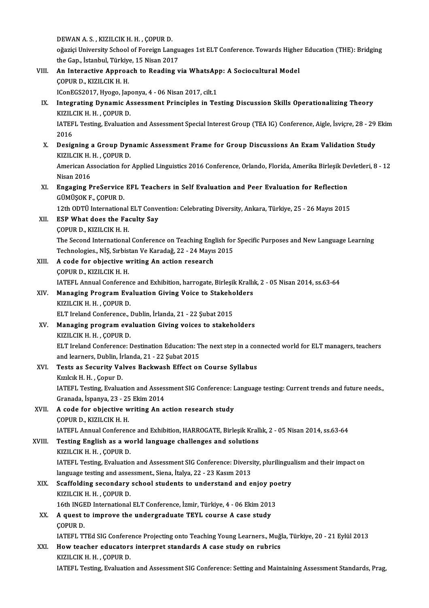DEWAN A.S., KIZILCIK H.H., ÇOPUR D. DEWAN A. S. , KIZILCIK H. H. , ÇOPUR D.<br>oğaziçi University School of Foreign Languages 1st ELT Conference. Towards Higher Education (THE): Bridging<br>the Can, İstanbul Türkiye, 15 Nisan 2017 DEWAN A. S. , KIZILCIK H. H. , ÇOPUR D.<br>oğaziçi University School of Foreign Langu<br>the Gap., İstanbul, Türkiye, 15 Nisan 2017<br>An Interactive Annyeach te Beading v oğaziçi University School of Foreign Languages 1st ELT Conference. Towards Highe:<br>the Gap., İstanbul, Türkiye, 15 Nisan 2017<br>VIII. An Interactive Approach to Reading via WhatsApp: A Sociocultural Model<br>COPUP D. VIZU CIV H. the Gap., İstanbul, Türkiye<br>An Interactive Approa<br>ÇOPUR D., KIZILCIK H. H.<br>ICOPECS2017, Hyogo, Jar An Interactive Approach to Reading via WhatsAp<br>COPUR D., KIZILCIK H. H.<br>IConEGS2017, Hyogo, Japonya, 4 - 06 Nisan 2017, cilt.1<br>Integrating Dunamic Assossment Principles in Tea COPUR D., KIZILCIK H. H.<br>IConEGS2017, Hyogo, Japonya, 4 - 06 Nisan 2017, cilt.1<br>IX. Integrating Dynamic Assessment Principles in Testing Discussion Skills Operationalizing Theory<br>2021 CIX H. H. COPUP D IConEGS2017, Hyogo, Jap<br>I**ntegrating Dynamic A:**<br>KIZILCIK H. H. , ÇOPUR D.<br>IATEEL Tosting Evoluatio Integrating Dynamic Assessment Principles in Testing Discussion Skills Operationalizing Theory<br>KIZILCIK H. H. , ÇOPUR D.<br>IATEFL Testing, Evaluation and Assessment Special Interest Group (TEA IG) Conference, Aigle, İsviçre, KIZILO<br>IATEF<br>2016<br>Desig X. IATEFL Testing, Evaluation and Assessment Special Interest Group (TEA IG) Conference, Aigle, İsviçre, 28 - 29<br>2016<br>X. Designing a Group Dynamic Assessment Frame for Group Discussions An Exam Validation Study<br>2021 CIX H. 2016<br>Designing a Group Dyn<br>KIZILCIK H. H. , ÇOPUR D.<br>American Asseciation for Designing a Group Dynamic Assessment Frame for Group Discussions An Exam Validation Study<br>KIZILCIK H. H. , ÇOPUR D.<br>American Association for Applied Linguistics 2016 Conference, Orlando, Florida, Amerika Birleşik Devletler KIZILCIK H. H. , ÇOPUR D.<br>American Association for Applied Linguistics 2016 Conference, Orlando, Florida, Amerika Birleşik Devletleri, 8<br>Nisan 2016 American Association for Applied Linguistics 2016 Conference, Orlando, Florida, Amerika Birleşik De<br>Nisan 2016<br>XI. Engaging PreService EFL Teachers in Self Evaluation and Peer Evaluation for Reflection<br>CÜMÜSOKE COPUP D Nisan 2016<br><mark>Engaging PreService</mark><br>GÜMÜŞOK F., ÇOPUR D.<br>12th ODT<sup>I</sup>l Internations Engaging PreService EFL Teachers in Self Evaluation and Peer Evaluation for Reflection<br>GÜMÜŞOK F., ÇOPUR D.<br>12th ODTÜ International ELT Convention: Celebrating Diversity, Ankara, Türkiye, 25 - 26 Mayıs 2015<br>ESB What does t GÜMÜŞOK F., ÇOPUR D.<br>12th ODTÜ International ELT Convert<br>XII. ESP What does the Faculty Say<br>COPUR D., KIZILCIK H. H. 12th ODTÜ International<br>**ESP What does the Faq**<br>COPUR D., KIZILCIK H. H.<br>The Second International ESP What does the Faculty Say<br>ÇOPUR D., KIZILCIK H. H.<br>The Second International Conference on Teaching English for Specific Purposes and New Language Learning<br>Technologies, N.S. Subistan Ve Kanadağ 22, 24 Mayıs 2015 COPUR D., KIZILCIK H. H.<br>The Second International Conference on Teaching English for<br>Technologies., NİŞ, Sırbistan Ve Karadağ, 22 - 24 Mayıs 2015<br>A sade for objective writing An astion researsh The Second International Conference on Teaching Eng<br>Technologies., NİŞ, Sırbistan Ve Karadağ, 22 - 24 Mayıs<br>XIII. A code for objective writing An action research<br>COPUP D. VIZU CIV H. H. Technologies., NİŞ, Sırbistan Ve Karadağ, 22 - 24 Mayıs 2015<br>A code for objective writing An action research<br>COPUR D., KIZILCIK H. H. IATEFL Annual Conference and Exhibition, harrogate, Birleşik Krallık, 2 - 05 Nisan 2014, ss.63-64 COPUR D., KIZILCIK H. H.<br>IATEFL Annual Conference and Exhibition, harrogate, Birleşik Krallı<br>XIV. Managing Program Evaluation Giving Voice to Stakeholders<br>KIZU CIV H. H. COPUP D. KIZILCIK H. H. , ÇOPUR D.<br>ELT Ireland Conference., Dublin, İrlanda, 21 - 22 Şubat 2015 Managing Program Evaluation Giving Voice to Stakeho<br>KIZILCIK H. H. , ÇOPUR D.<br>ELT Ireland Conference., Dublin, İrlanda, 21 - 22 Şubat 2015<br>Managing program ovaluation Giving voices to stakab XV. Managing programevaluation Giving voices to stakeholders KIZILCIKH.H. ,ÇOPURD. Managing program evaluation Giving voices to stakeholders<br>KIZILCIK H. H. , ÇOPUR D.<br>ELT Ireland Conference: Destination Education: The next step in a connected world for ELT managers, teachers<br>and learners, Dublin, İrlanda KIZILCIK H. H. , ÇOPUR D.<br>ELT Ireland Conference: Destination Education: T.<br>and learners, Dublin, İrlanda, 21 - 22 Şubat 2015<br>Testa es Sesunity Volves Baskysesh Effest en ELT Ireland Conference: Destination Education: The next step in a com<br>and learners, Dublin, İrlanda, 21 - 22 Şubat 2015<br>XVI. Tests as Security Valves Backwash Effect on Course Syllabus<br>Varlak H.H. Conur D. and learners, Dublin, İr<br>Tests as Security Val<br>Kızılcık H. H. , Çopur D.<br>LATEEL Testing Evalue Tests as Security Valves Backwash Effect on Course Syllabus<br>Kızılcık H. H. , Çopur D.<br>IATEFL Testing, Evaluation and Assessment SIG Conference: Language testing: Current trends and future needs.,<br>Cranada İspanya. 22., 25 E Kızılcık H. H. , Çopur D.<br>IATEFL Testing, Evaluation and Asses.<br>Granada, İspanya, 23 - 25 Ekim 2014<br>A sədə fər əbiəstiyə yuyiting An ə IATEFL Testing, Evaluation and Assessment SIG Conference: I<br>Granada, İspanya, 23 - 25 Ekim 2014<br>XVII. A code for objective writing An action research study<br>COBUR D. KIZU CIK H. H Granada, İspanya, 23 - 25<br>A code for objective w<br>ÇOPUR D., KIZILCIK H. H.<br>JATEEL Annual Corferen A code for objective writing An action research study<br>ÇOPUR D., KIZILCIK H. H.<br>IATEFL Annual Conference and Exhibition, HARROGATE, Birleşik Krallık, 2 - 05 Nisan 2014, ss.63-64<br>Testing English as a world Janguage shallange COPUR D., KIZILCIK H. H.<br>IATEFL Annual Conference and Exhibition, HARROGATE, Birleşik Krall<br>XVIII. Testing English as a world language challenges and solutions<br>XVIII. Testing English as a world language challenges and solu IATEFL Annual Conference<br>Testing English as a work<br>KIZILCIK H. H. , ÇOPUR D.<br>LATEFL Testing Evaluation Testing English as a world language challenges and solutions<br>KIZILCIK H. H. , ÇOPUR D.<br>IATEFL Testing, Evaluation and Assessment SIG Conference: Diversity, plurilingualism and their impact on<br>Janguage testing and assessmen KIZILCIK H. H. , ÇOPUR D.<br>IATEFL Testing, Evaluation and Assessment SIG Conference: Diversi<br>language testing and assessment., Siena, İtalya, 22 - 23 Kasım 2013<br>Seeffelding secondary sebool students to understand and o IATEFL Testing, Evaluation and Assessment SIG Conference: Diversity, plurilingual language testing and assessment., Siena, İtalya, 22 - 23 Kasım 2013<br>XIX. Scaffolding secondary school students to understand and enjoy poetr language testing and assessment., Siena, İtalya, 22 - 23 Kasım 2013<br>Scaffolding secondary school students to understand and enjoy po<br>KIZILCIK H. H. , ÇOPUR D.<br>16th INGED International ELT Conference. İzmir. Türkive. 4 - 06 XIX. Scaffolding secondary school students to understand and enjoy poetry XX. A quest to improve the undergraduate TEYL course A case study ÇOPURD. A quest to improve the undergraduate TEYL course A case study<br>ÇOPUR D.<br>IATEFL TTEd SIG Conference Projecting onto Teaching Young Learners., Muğla, Türkiye, 20 - 21 Eylül 2013<br>How teacher educators internast standards A sas COPUR D.<br>IATEFL TTEd SIG Conference Projecting onto Teaching Young Learners., Muği<br>XXI. How teacher educators interpret standards A case study on rubrics<br>XXI. How teacher educators interpret standards A case study on rubri IATEFL TTEd SIG Confere<br>How teacher educators<br>KIZILCIK H. H. , ÇOPUR D.<br>LATEFL Teating Evaluatio How teacher educators interpret standards A case study on rubrics<br>KIZILCIK H. H. , ÇOPUR D.<br>IATEFL Testing, Evaluation and Assessment SIG Conference: Setting and Maintaining Assessment Standards, Prag,